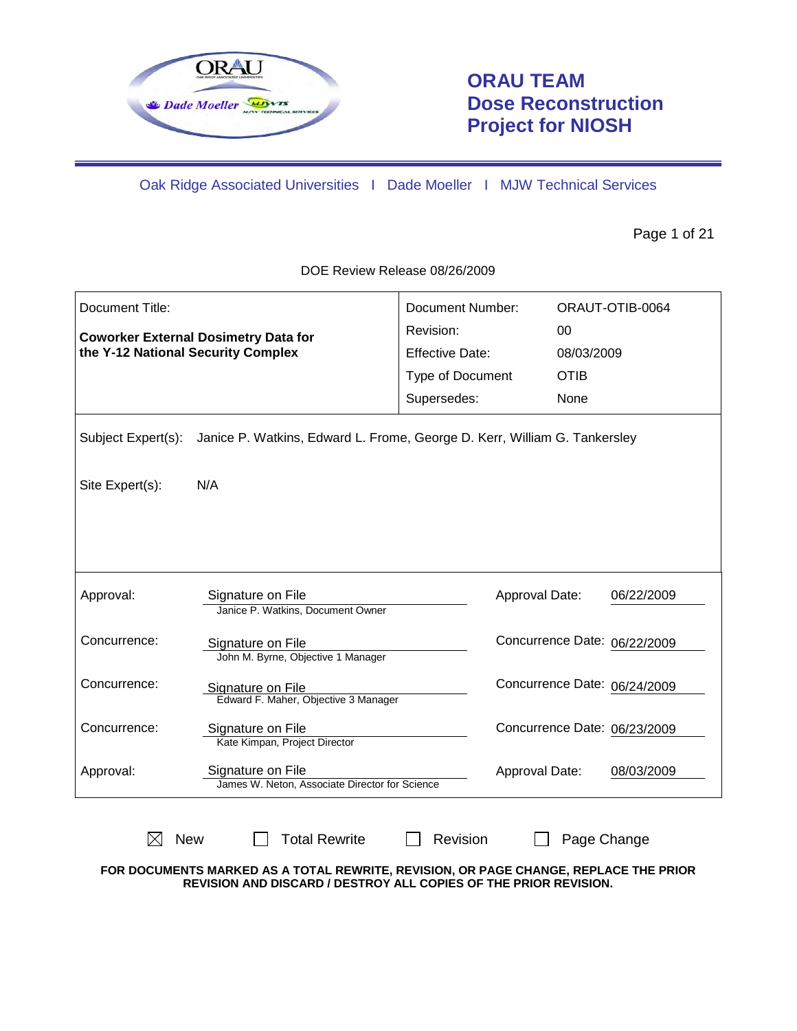

# **ORAU TEAM Dose Reconstruction Project for NIOSH**

Oak Ridge Associated Universities I Dade Moeller I MJW Technical Services

Page 1 of 21

DOE Review Release 08/26/2009

| Document Title:                    |                                                                           | <b>Document Number:</b> |             | ORAUT-OTIB-0064              |
|------------------------------------|---------------------------------------------------------------------------|-------------------------|-------------|------------------------------|
|                                    |                                                                           | Revision:               | 00          |                              |
| the Y-12 National Security Complex | <b>Coworker External Dosimetry Data for</b>                               | <b>Effective Date:</b>  | 08/03/2009  |                              |
|                                    |                                                                           | Type of Document        | <b>OTIB</b> |                              |
|                                    |                                                                           | Supersedes:             | None        |                              |
| Subject Expert(s):                 | Janice P. Watkins, Edward L. Frome, George D. Kerr, William G. Tankersley |                         |             |                              |
| Site Expert(s):                    | N/A                                                                       |                         |             |                              |
|                                    |                                                                           |                         |             |                              |
|                                    |                                                                           |                         |             |                              |
| Approval:                          | Signature on File<br>Janice P. Watkins, Document Owner                    | Approval Date:          |             | 06/22/2009                   |
| Concurrence:                       | Signature on File<br>John M. Byrne, Objective 1 Manager                   |                         |             | Concurrence Date: 06/22/2009 |
| Concurrence:                       | Signature on File<br>Edward F. Maher, Objective 3 Manager                 |                         |             | Concurrence Date: 06/24/2009 |
| Concurrence:                       | Signature on File<br>Kate Kimpan, Project Director                        |                         |             | Concurrence Date: 06/23/2009 |
| Approval:                          | Signature on File<br>James W. Neton, Associate Director for Science       | Approval Date:          |             | 08/03/2009                   |
| <b>New</b>                         | <b>Total Rewrite</b>                                                      | Revision                | Page Change |                              |

**FOR DOCUMENTS MARKED AS A TOTAL REWRITE, REVISION, OR PAGE CHANGE, REPLACE THE PRIOR REVISION AND DISCARD / DESTROY ALL COPIES OF THE PRIOR REVISION.**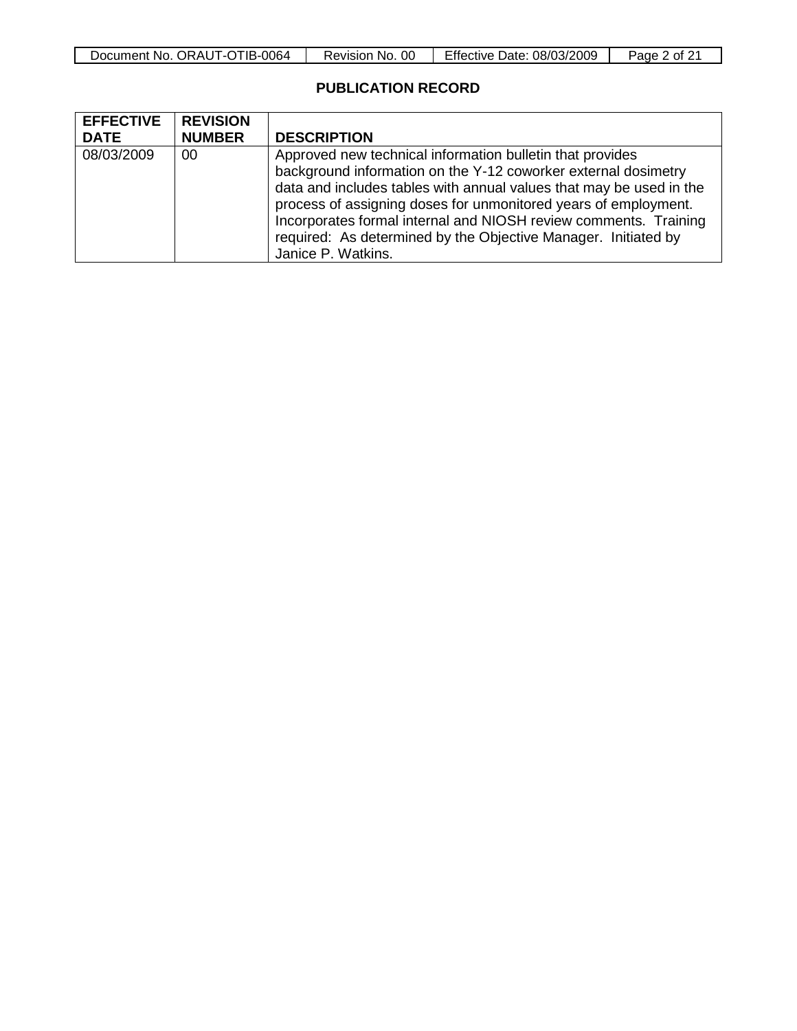| Document No. ORAUT-OTIB-0064 | 00<br>Revision No. | <b>Effective Date: 08/03/2009</b> | Page,<br>$\frac{1}{2}$ of ∠ |
|------------------------------|--------------------|-----------------------------------|-----------------------------|

# **PUBLICATION RECORD**

| <b>EFFECTIVE</b> | <b>REVISION</b> |                                                                                                                                                                                                                                                                                                                                           |
|------------------|-----------------|-------------------------------------------------------------------------------------------------------------------------------------------------------------------------------------------------------------------------------------------------------------------------------------------------------------------------------------------|
| <b>DATE</b>      | <b>NUMBER</b>   | <b>DESCRIPTION</b>                                                                                                                                                                                                                                                                                                                        |
| 08/03/2009       | 00              | Approved new technical information bulletin that provides<br>background information on the Y-12 coworker external dosimetry<br>data and includes tables with annual values that may be used in the<br>process of assigning doses for unmonitored years of employment.<br>Incorporates formal internal and NIOSH review comments. Training |
|                  |                 | required: As determined by the Objective Manager. Initiated by<br>Janice P. Watkins.                                                                                                                                                                                                                                                      |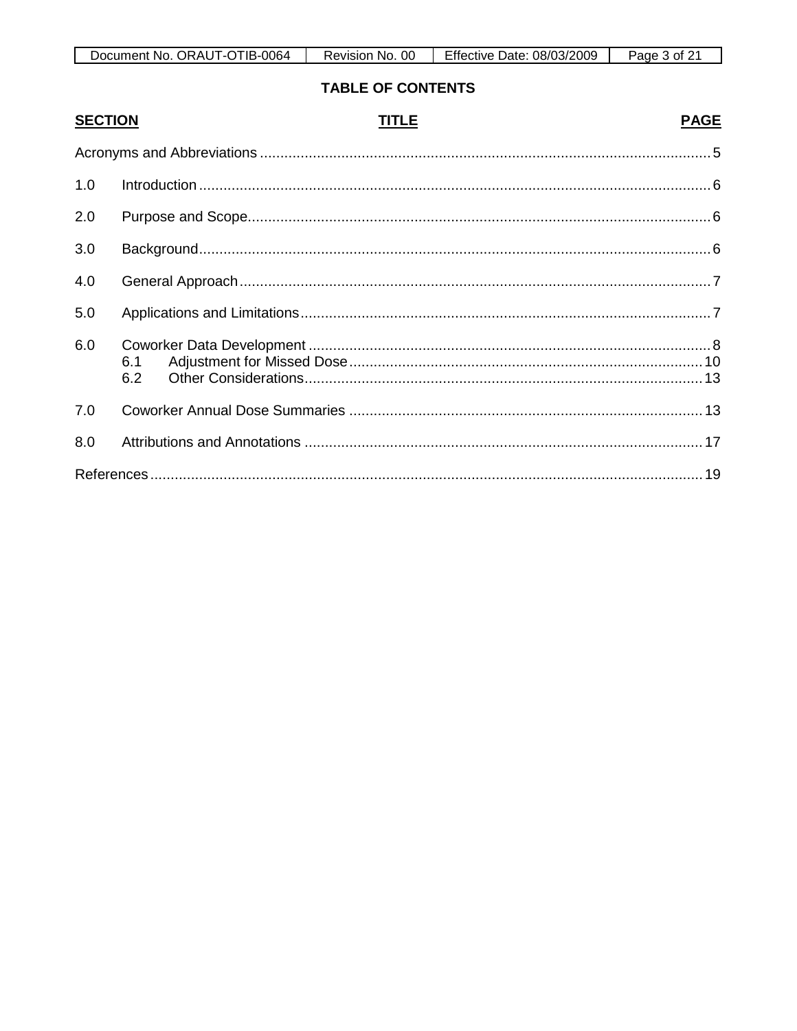| Document No. ORAUT-OTIB-0064 | 00                  | Effective Date: | Page |
|------------------------------|---------------------|-----------------|------|
|                              | <b>Revision No.</b> | 08/03/2009      | ot.  |

# **TABLE OF CONTENTS**

| <b>SECTION</b> | TITLE<br><b>PAGE</b> |  |
|----------------|----------------------|--|
|                |                      |  |
| 1.0            |                      |  |
| 2.0            |                      |  |
| 3.0            |                      |  |
| 4.0            |                      |  |
| 5.0            |                      |  |
| 6.0            | 6.1<br>6.2           |  |
| 7.0            |                      |  |
| 8.0            |                      |  |
|                |                      |  |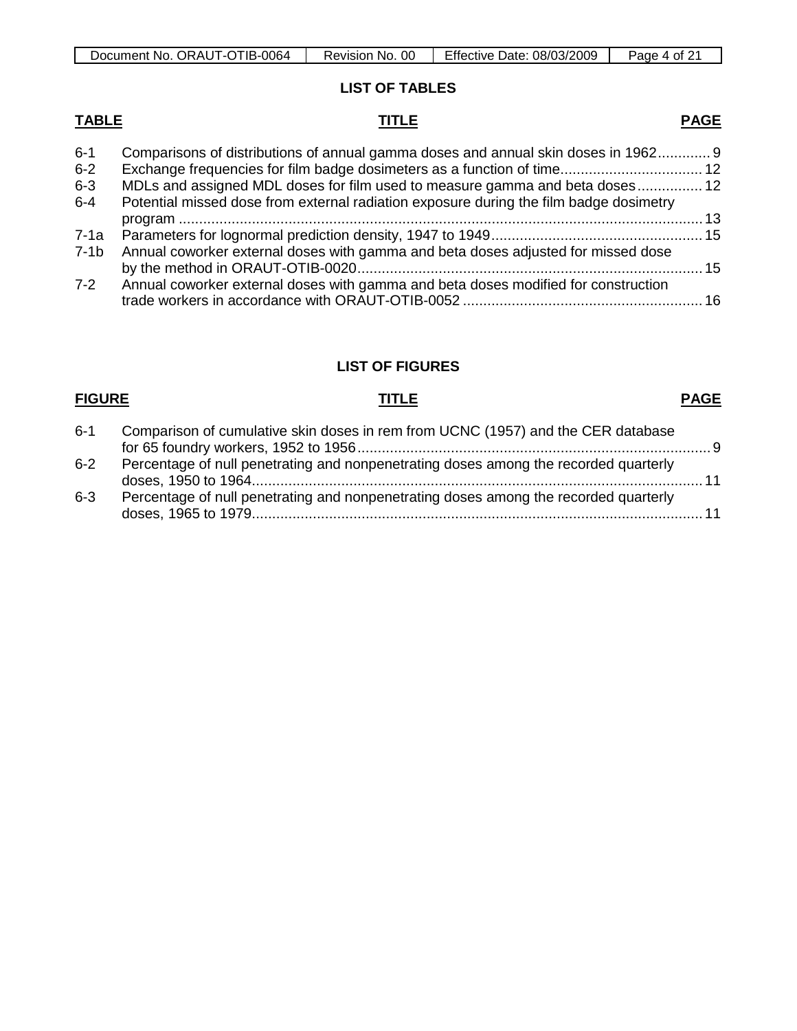| ി TIB-0064<br>ORAUT-C<br>Document No. | 00<br>No.<br>Revision | Effective<br>08/03/2009<br>Date: | Page<br>. ot |
|---------------------------------------|-----------------------|----------------------------------|--------------|

**LIST OF TABLES**

**TABLE TITLE**

| $6 - 1$ | Comparisons of distributions of annual gamma doses and annual skin doses in 1962 9     |  |
|---------|----------------------------------------------------------------------------------------|--|
| $6 - 2$ |                                                                                        |  |
| $6 - 3$ | MDLs and assigned MDL doses for film used to measure gamma and beta doses 12           |  |
| $6 - 4$ | Potential missed dose from external radiation exposure during the film badge dosimetry |  |
|         |                                                                                        |  |
| 7-1a    |                                                                                        |  |
| $7-1b$  | Annual coworker external doses with gamma and beta doses adjusted for missed dose      |  |
|         |                                                                                        |  |
| 7-2     | Annual coworker external doses with gamma and beta doses modified for construction     |  |
|         |                                                                                        |  |

# **LIST OF FIGURES**

# **FIGURE TITLE**

# **PAGE**

| $6 - 1$ | Comparison of cumulative skin doses in rem from UCNC (1957) and the CER database     |       |
|---------|--------------------------------------------------------------------------------------|-------|
| $6 - 2$ | Percentage of null penetrating and nonpenetrating doses among the recorded quarterly |       |
| $6 - 3$ | Percentage of null penetrating and nonpenetrating doses among the recorded quarterly | $-11$ |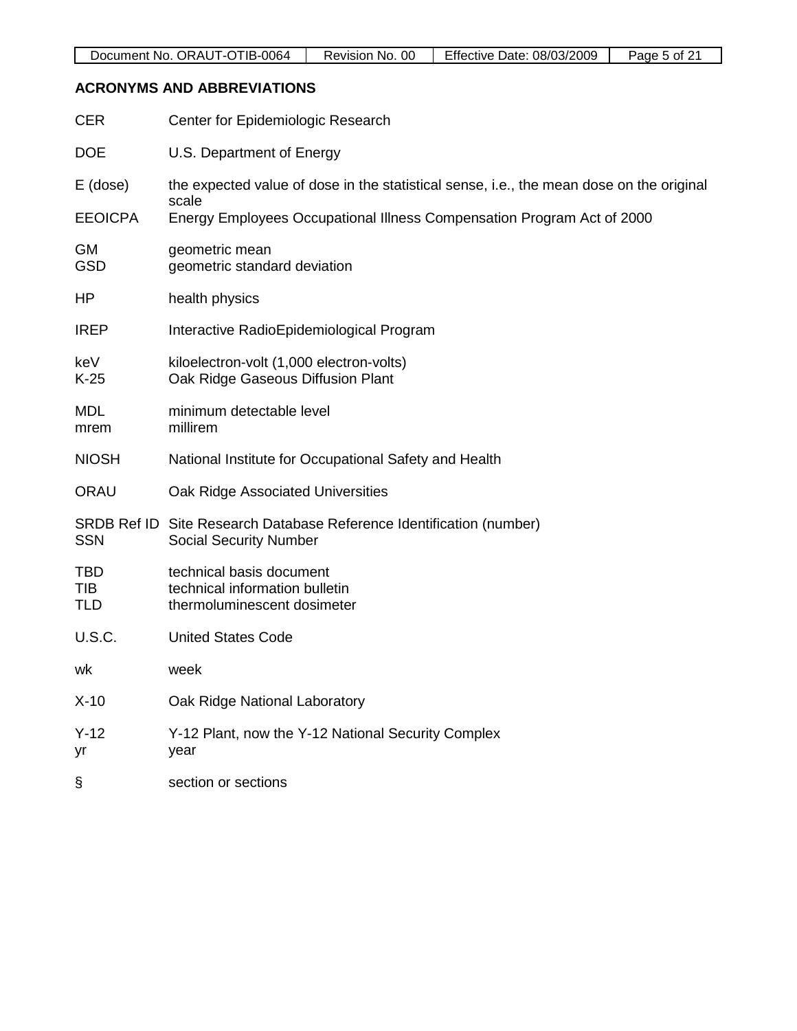# **ACRONYMS AND ABBREVIATIONS**

| <b>CER</b>                      | Center for Epidemiologic Research                                                                     |
|---------------------------------|-------------------------------------------------------------------------------------------------------|
| <b>DOE</b>                      | U.S. Department of Energy                                                                             |
| E (dose)                        | the expected value of dose in the statistical sense, i.e., the mean dose on the original<br>scale     |
| <b>EEOICPA</b>                  | Energy Employees Occupational Illness Compensation Program Act of 2000                                |
| GM<br><b>GSD</b>                | geometric mean<br>geometric standard deviation                                                        |
| HP                              | health physics                                                                                        |
| <b>IREP</b>                     | Interactive RadioEpidemiological Program                                                              |
| keV<br>$K-25$                   | kiloelectron-volt (1,000 electron-volts)<br>Oak Ridge Gaseous Diffusion Plant                         |
| <b>MDL</b><br>mrem              | minimum detectable level<br>millirem                                                                  |
| <b>NIOSH</b>                    | National Institute for Occupational Safety and Health                                                 |
| <b>ORAU</b>                     | Oak Ridge Associated Universities                                                                     |
| <b>SSN</b>                      | SRDB Ref ID Site Research Database Reference Identification (number)<br><b>Social Security Number</b> |
| <b>TBD</b><br>TIB<br><b>TLD</b> | technical basis document<br>technical information bulletin<br>thermoluminescent dosimeter             |
| <b>U.S.C.</b>                   | <b>United States Code</b>                                                                             |
| wk                              | week                                                                                                  |
| $X-10$                          | Oak Ridge National Laboratory                                                                         |
| $Y-12$<br>yr                    | Y-12 Plant, now the Y-12 National Security Complex<br>year                                            |
| §                               | section or sections                                                                                   |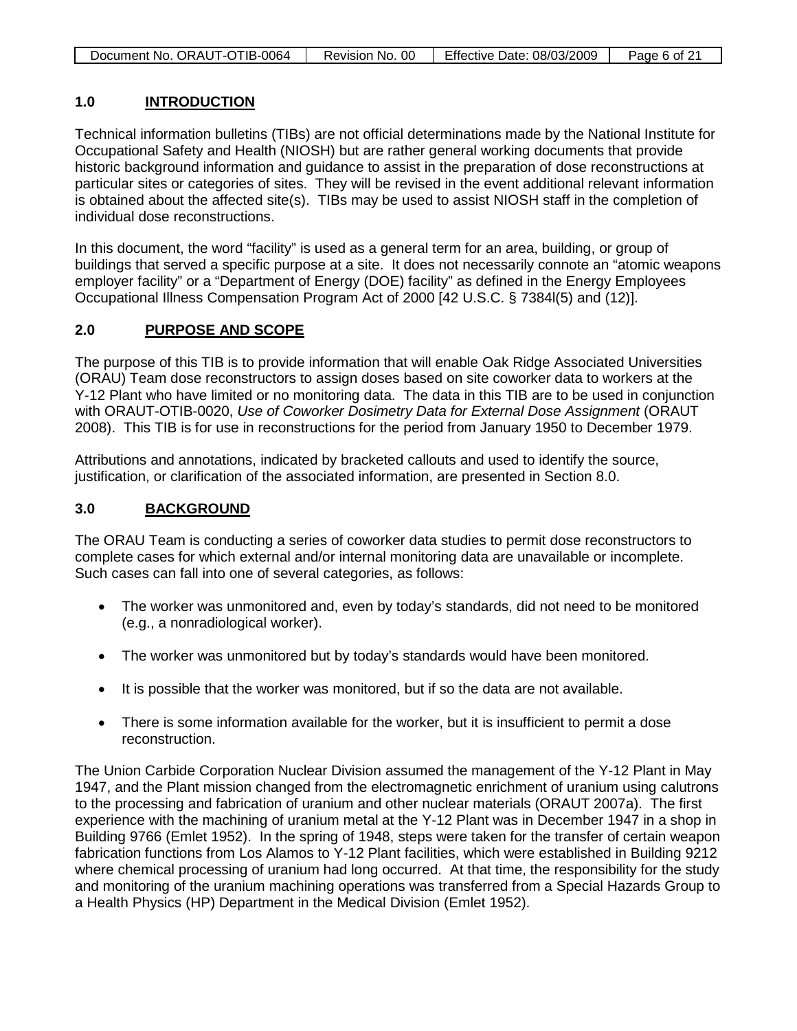| Document No. ORAUT-OTIB-0064 | Revision No. 00 | Effective Date: 08/03/2009 | Page 6 of 21 |
|------------------------------|-----------------|----------------------------|--------------|

### **1.0 INTRODUCTION**

Technical information bulletins (TIBs) are not official determinations made by the National Institute for Occupational Safety and Health (NIOSH) but are rather general working documents that provide historic background information and guidance to assist in the preparation of dose reconstructions at particular sites or categories of sites. They will be revised in the event additional relevant information is obtained about the affected site(s). TIBs may be used to assist NIOSH staff in the completion of individual dose reconstructions.

In this document, the word "facility" is used as a general term for an area, building, or group of buildings that served a specific purpose at a site. It does not necessarily connote an "atomic weapons employer facility" or a "Department of Energy (DOE) facility" as defined in the Energy Employees Occupational Illness Compensation Program Act of 2000 [42 U.S.C. § 7384l(5) and (12)].

### **2.0 PURPOSE AND SCOPE**

The purpose of this TIB is to provide information that will enable Oak Ridge Associated Universities (ORAU) Team dose reconstructors to assign doses based on site coworker data to workers at the Y-12 Plant who have limited or no monitoring data. The data in this TIB are to be used in conjunction with ORAUT-OTIB-0020, *Use of Coworker Dosimetry Data for External Dose Assignment* (ORAUT 2008). This TIB is for use in reconstructions for the period from January 1950 to December 1979.

Attributions and annotations, indicated by bracketed callouts and used to identify the source, justification, or clarification of the associated information, are presented in Section 8.0.

#### **3.0 BACKGROUND**

The ORAU Team is conducting a series of coworker data studies to permit dose reconstructors to complete cases for which external and/or internal monitoring data are unavailable or incomplete. Such cases can fall into one of several categories, as follows:

- The worker was unmonitored and, even by today's standards, did not need to be monitored (e.g., a nonradiological worker).
- The worker was unmonitored but by today's standards would have been monitored.
- It is possible that the worker was monitored, but if so the data are not available.
- There is some information available for the worker, but it is insufficient to permit a dose reconstruction.

The Union Carbide Corporation Nuclear Division assumed the management of the Y-12 Plant in May 1947, and the Plant mission changed from the electromagnetic enrichment of uranium using calutrons to the processing and fabrication of uranium and other nuclear materials (ORAUT 2007a). The first experience with the machining of uranium metal at the Y-12 Plant was in December 1947 in a shop in Building 9766 (Emlet 1952). In the spring of 1948, steps were taken for the transfer of certain weapon fabrication functions from Los Alamos to Y-12 Plant facilities, which were established in Building 9212 where chemical processing of uranium had long occurred. At that time, the responsibility for the study and monitoring of the uranium machining operations was transferred from a Special Hazards Group to a Health Physics (HP) Department in the Medical Division (Emlet 1952).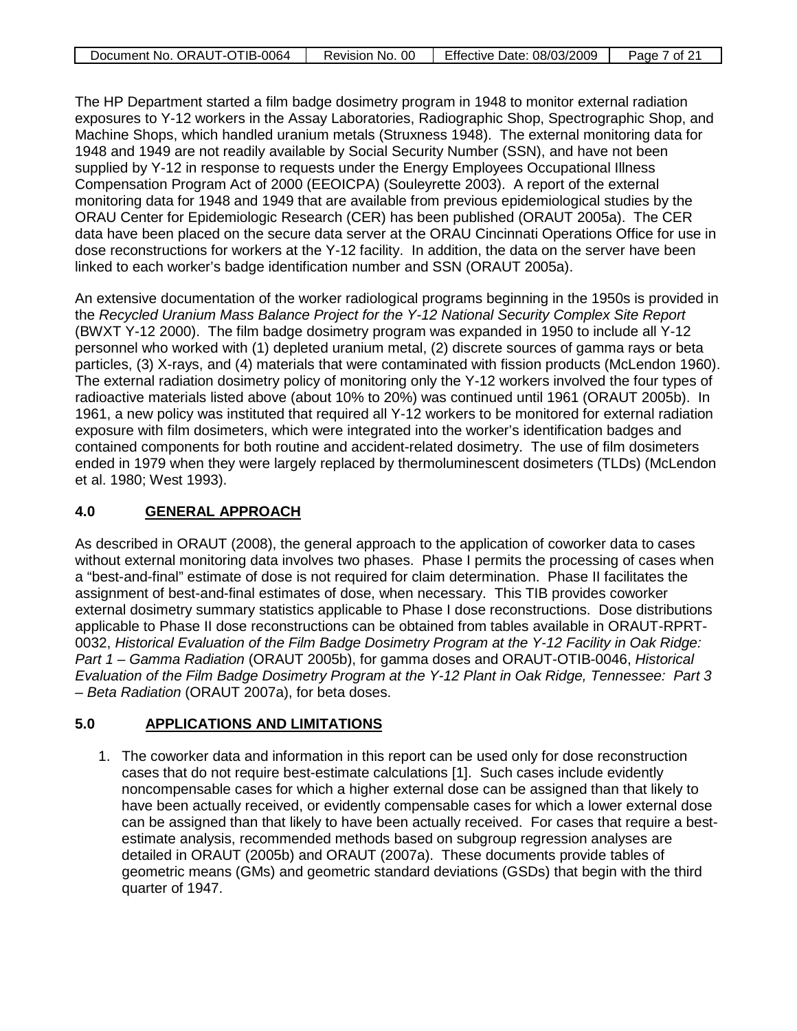| Document No. ORAUT-OTIB-0064 | Revision No. 00 | Effective Date: 08/03/2009 | Page 7 of 21 |
|------------------------------|-----------------|----------------------------|--------------|

The HP Department started a film badge dosimetry program in 1948 to monitor external radiation exposures to Y-12 workers in the Assay Laboratories, Radiographic Shop, Spectrographic Shop, and Machine Shops, which handled uranium metals (Struxness 1948). The external monitoring data for 1948 and 1949 are not readily available by Social Security Number (SSN), and have not been supplied by Y-12 in response to requests under the Energy Employees Occupational Illness Compensation Program Act of 2000 (EEOICPA) (Souleyrette 2003). A report of the external monitoring data for 1948 and 1949 that are available from previous epidemiological studies by the ORAU Center for Epidemiologic Research (CER) has been published (ORAUT 2005a). The CER data have been placed on the secure data server at the ORAU Cincinnati Operations Office for use in dose reconstructions for workers at the Y-12 facility. In addition, the data on the server have been linked to each worker's badge identification number and SSN (ORAUT 2005a).

An extensive documentation of the worker radiological programs beginning in the 1950s is provided in the *Recycled Uranium Mass Balance Project for the Y-12 National Security Complex Site Report* (BWXT Y-12 2000). The film badge dosimetry program was expanded in 1950 to include all Y-12 personnel who worked with (1) depleted uranium metal, (2) discrete sources of gamma rays or beta particles, (3) X-rays, and (4) materials that were contaminated with fission products (McLendon 1960). The external radiation dosimetry policy of monitoring only the Y-12 workers involved the four types of radioactive materials listed above (about 10% to 20%) was continued until 1961 (ORAUT 2005b). In 1961, a new policy was instituted that required all Y-12 workers to be monitored for external radiation exposure with film dosimeters, which were integrated into the worker's identification badges and contained components for both routine and accident-related dosimetry. The use of film dosimeters ended in 1979 when they were largely replaced by thermoluminescent dosimeters (TLDs) (McLendon et al. 1980; West 1993).

#### **4.0 GENERAL APPROACH**

As described in ORAUT (2008), the general approach to the application of coworker data to cases without external monitoring data involves two phases. Phase I permits the processing of cases when a "best-and-final" estimate of dose is not required for claim determination. Phase II facilitates the assignment of best-and-final estimates of dose, when necessary. This TIB provides coworker external dosimetry summary statistics applicable to Phase I dose reconstructions. Dose distributions applicable to Phase II dose reconstructions can be obtained from tables available in ORAUT-RPRT-0032, *Historical Evaluation of the Film Badge Dosimetry Program at the Y-12 Facility in Oak Ridge: Part 1 – Gamma Radiation* (ORAUT 2005b), for gamma doses and ORAUT-OTIB-0046, *Historical Evaluation of the Film Badge Dosimetry Program at the Y-12 Plant in Oak Ridge, Tennessee: Part 3 – Beta Radiation* (ORAUT 2007a), for beta doses.

#### **5.0 APPLICATIONS AND LIMITATIONS**

1. The coworker data and information in this report can be used only for dose reconstruction cases that do not require best-estimate calculations [1]. Such cases include evidently noncompensable cases for which a higher external dose can be assigned than that likely to have been actually received, or evidently compensable cases for which a lower external dose can be assigned than that likely to have been actually received. For cases that require a bestestimate analysis, recommended methods based on subgroup regression analyses are detailed in ORAUT (2005b) and ORAUT (2007a). These documents provide tables of geometric means (GMs) and geometric standard deviations (GSDs) that begin with the third quarter of 1947.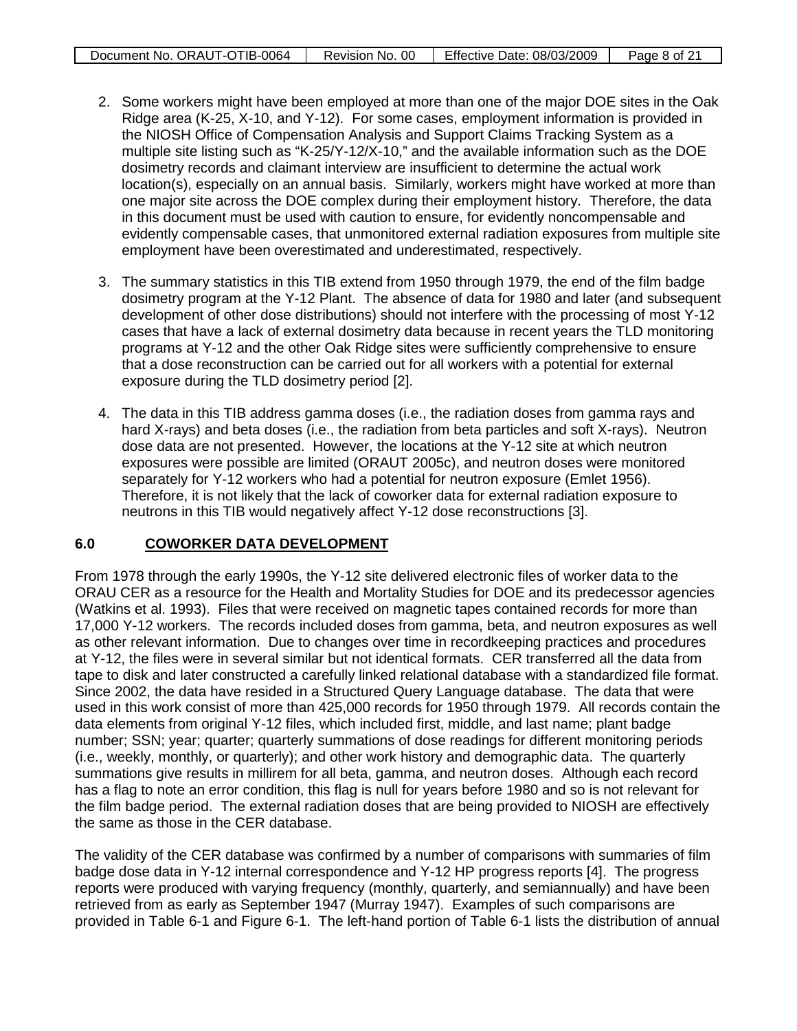| Document No. ORAUT-OTIB-0064 | Revision No. 00 | Effective Date: 08/03/2009 | Page 8 of 21 |
|------------------------------|-----------------|----------------------------|--------------|

- 2. Some workers might have been employed at more than one of the major DOE sites in the Oak Ridge area (K-25, X-10, and Y-12). For some cases, employment information is provided in the NIOSH Office of Compensation Analysis and Support Claims Tracking System as a multiple site listing such as "K-25/Y-12/X-10," and the available information such as the DOE dosimetry records and claimant interview are insufficient to determine the actual work location(s), especially on an annual basis. Similarly, workers might have worked at more than one major site across the DOE complex during their employment history. Therefore, the data in this document must be used with caution to ensure, for evidently noncompensable and evidently compensable cases, that unmonitored external radiation exposures from multiple site employment have been overestimated and underestimated, respectively.
- 3. The summary statistics in this TIB extend from 1950 through 1979, the end of the film badge dosimetry program at the Y-12 Plant. The absence of data for 1980 and later (and subsequent development of other dose distributions) should not interfere with the processing of most Y-12 cases that have a lack of external dosimetry data because in recent years the TLD monitoring programs at Y-12 and the other Oak Ridge sites were sufficiently comprehensive to ensure that a dose reconstruction can be carried out for all workers with a potential for external exposure during the TLD dosimetry period [2].
- 4. The data in this TIB address gamma doses (i.e., the radiation doses from gamma rays and hard X-rays) and beta doses (i.e., the radiation from beta particles and soft X-rays). Neutron dose data are not presented. However, the locations at the Y-12 site at which neutron exposures were possible are limited (ORAUT 2005c), and neutron doses were monitored separately for Y-12 workers who had a potential for neutron exposure (Emlet 1956). Therefore, it is not likely that the lack of coworker data for external radiation exposure to neutrons in this TIB would negatively affect Y-12 dose reconstructions [3].

#### **6.0 COWORKER DATA DEVELOPMENT**

From 1978 through the early 1990s, the Y-12 site delivered electronic files of worker data to the ORAU CER as a resource for the Health and Mortality Studies for DOE and its predecessor agencies (Watkins et al. 1993). Files that were received on magnetic tapes contained records for more than 17,000 Y-12 workers. The records included doses from gamma, beta, and neutron exposures as well as other relevant information. Due to changes over time in recordkeeping practices and procedures at Y-12, the files were in several similar but not identical formats. CER transferred all the data from tape to disk and later constructed a carefully linked relational database with a standardized file format. Since 2002, the data have resided in a Structured Query Language database. The data that were used in this work consist of more than 425,000 records for 1950 through 1979. All records contain the data elements from original Y-12 files, which included first, middle, and last name; plant badge number; SSN; year; quarter; quarterly summations of dose readings for different monitoring periods (i.e., weekly, monthly, or quarterly); and other work history and demographic data. The quarterly summations give results in millirem for all beta, gamma, and neutron doses. Although each record has a flag to note an error condition, this flag is null for years before 1980 and so is not relevant for the film badge period. The external radiation doses that are being provided to NIOSH are effectively the same as those in the CER database.

The validity of the CER database was confirmed by a number of comparisons with summaries of film badge dose data in Y-12 internal correspondence and Y-12 HP progress reports [4]. The progress reports were produced with varying frequency (monthly, quarterly, and semiannually) and have been retrieved from as early as September 1947 (Murray 1947). Examples of such comparisons are provided in Table 6-1 and Figure 6-1. The left-hand portion of Table 6-1 lists the distribution of annual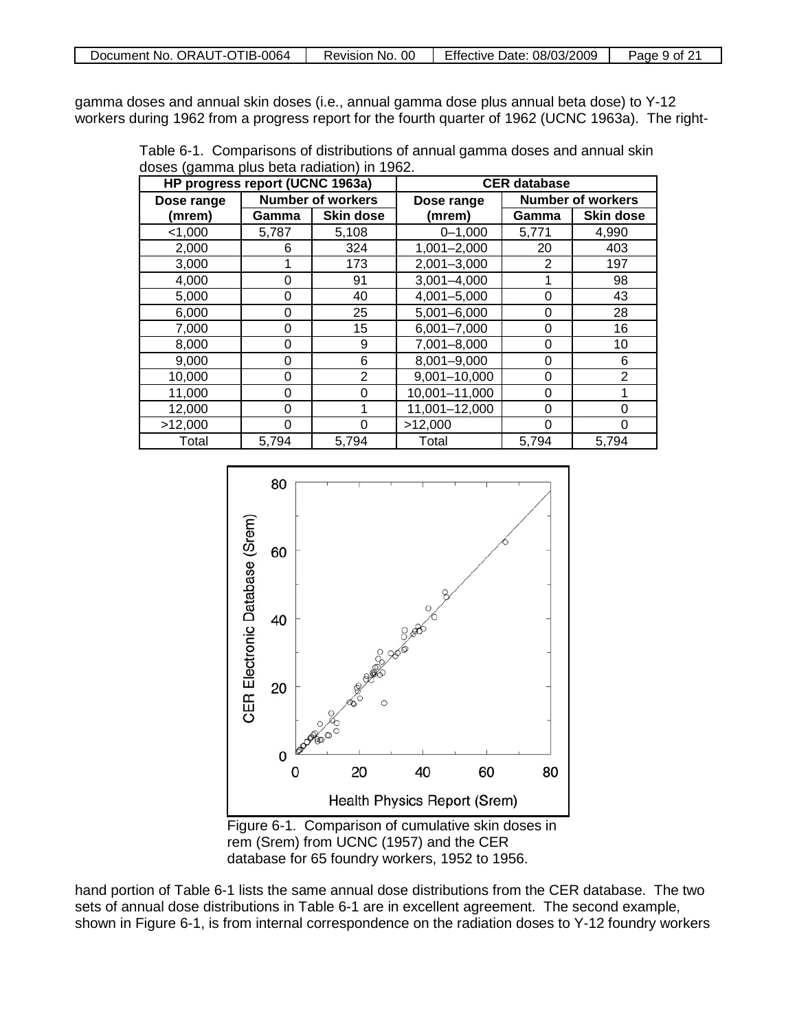gamma doses and annual skin doses (i.e., annual gamma dose plus annual beta dose) to Y-12 workers during 1962 from a progress report for the fourth quarter of 1962 (UCNC 1963a). The right-

Table 6-1. Comparisons of distributions of annual gamma doses and annual skin doses (gamma plus beta radiation) in 1962.

| HP progress report (UCNC 1963a) |                          |                  | <b>CER</b> database |                          |                  |  |  |
|---------------------------------|--------------------------|------------------|---------------------|--------------------------|------------------|--|--|
| Dose range                      | <b>Number of workers</b> |                  | Dose range          | <b>Number of workers</b> |                  |  |  |
| (mrem)                          | Gamma                    | <b>Skin dose</b> | (mrem)              | Gamma                    | <b>Skin dose</b> |  |  |
| < 1,000                         | 5,787                    | 5,108            | $0 - 1,000$         | 5,771                    | 4,990            |  |  |
| 2,000                           | 6                        | 324              | $1,001 - 2,000$     | 20                       | 403              |  |  |
| 3,000                           |                          | 173              | $2,001 - 3,000$     | 2                        | 197              |  |  |
| 4,000                           | 0                        | 91               | $3,001 - 4,000$     |                          | 98               |  |  |
| 5,000                           | 0                        | 40               | 4,001-5,000         | 0                        | 43               |  |  |
| 6,000                           | 0                        | 25               | 5,001-6,000         | 0                        | 28               |  |  |
| 7,000                           | 0                        | 15               | $6,001 - 7,000$     | 0                        | 16               |  |  |
| 8,000                           | 0                        | 9                | $7,001 - 8,000$     | 0                        | 10               |  |  |
| 9,000                           | 0                        | 6                | 8,001-9,000         | 0                        | 6                |  |  |
| 10,000                          | 0                        | 2                | 9,001-10,000        | 0                        | $\overline{2}$   |  |  |
| 11,000                          | 0                        | 0                | 10,001-11,000       | 0                        |                  |  |  |
| 12,000                          | O                        |                  | 11,001-12,000       | 0                        | 0                |  |  |
| >12,000                         | O                        | ი                | >12,000             | 0                        | 0                |  |  |
| Total                           | 5,794                    | 5,794            | Total               | 5,794                    | 5,794            |  |  |



Figure 6-1. Comparison of cumulative skin doses in rem (Srem) from UCNC (1957) and the CER database for 65 foundry workers, 1952 to 1956.

hand portion of Table 6-1 lists the same annual dose distributions from the CER database. The two sets of annual dose distributions in Table 6-1 are in excellent agreement. The second example, shown in Figure 6-1, is from internal correspondence on the radiation doses to Y-12 foundry workers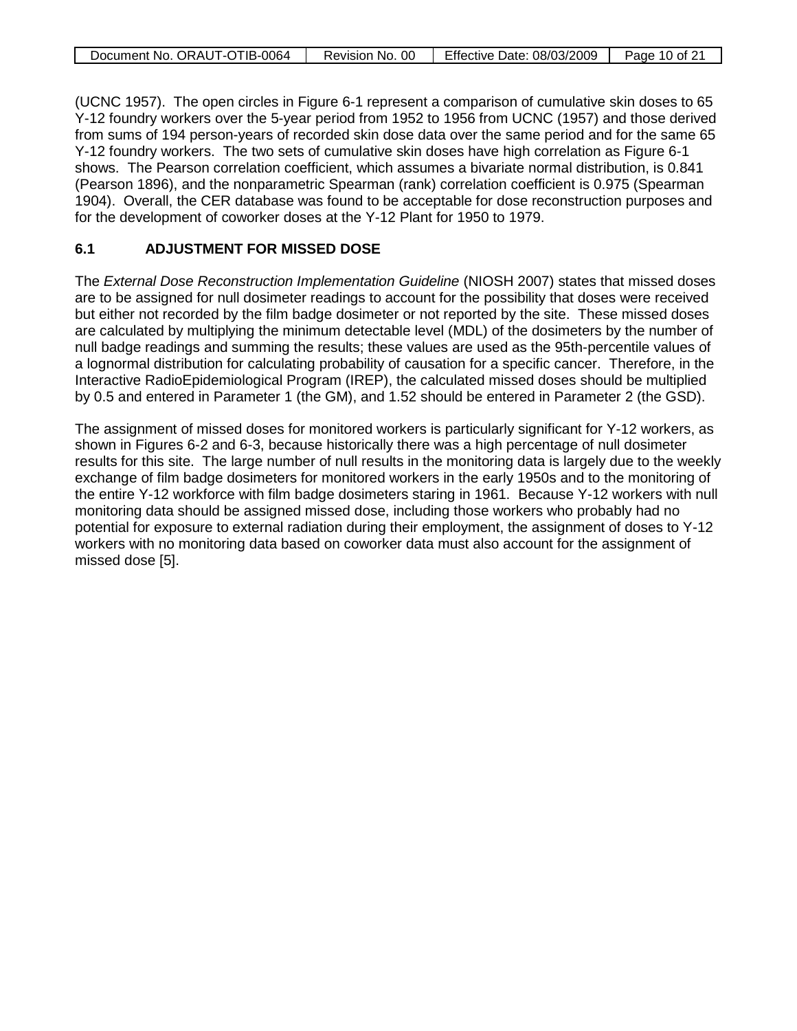|  | Document No. ORAUT-OTIB-0064 | Revision No. 00 | Effective Date: 08/03/2009 | Page 10 of 21 |
|--|------------------------------|-----------------|----------------------------|---------------|
|--|------------------------------|-----------------|----------------------------|---------------|

(UCNC 1957). The open circles in Figure 6-1 represent a comparison of cumulative skin doses to 65 Y-12 foundry workers over the 5-year period from 1952 to 1956 from UCNC (1957) and those derived from sums of 194 person-years of recorded skin dose data over the same period and for the same 65 Y-12 foundry workers. The two sets of cumulative skin doses have high correlation as Figure 6-1 shows. The Pearson correlation coefficient, which assumes a bivariate normal distribution, is 0.841 (Pearson 1896), and the nonparametric Spearman (rank) correlation coefficient is 0.975 (Spearman 1904). Overall, the CER database was found to be acceptable for dose reconstruction purposes and for the development of coworker doses at the Y-12 Plant for 1950 to 1979.

## **6.1 ADJUSTMENT FOR MISSED DOSE**

The *External Dose Reconstruction Implementation Guideline* (NIOSH 2007) states that missed doses are to be assigned for null dosimeter readings to account for the possibility that doses were received but either not recorded by the film badge dosimeter or not reported by the site. These missed doses are calculated by multiplying the minimum detectable level (MDL) of the dosimeters by the number of null badge readings and summing the results; these values are used as the 95th-percentile values of a lognormal distribution for calculating probability of causation for a specific cancer. Therefore, in the Interactive RadioEpidemiological Program (IREP), the calculated missed doses should be multiplied by 0.5 and entered in Parameter 1 (the GM), and 1.52 should be entered in Parameter 2 (the GSD).

The assignment of missed doses for monitored workers is particularly significant for Y-12 workers, as shown in Figures 6-2 and 6-3, because historically there was a high percentage of null dosimeter results for this site. The large number of null results in the monitoring data is largely due to the weekly exchange of film badge dosimeters for monitored workers in the early 1950s and to the monitoring of the entire Y-12 workforce with film badge dosimeters staring in 1961. Because Y-12 workers with null monitoring data should be assigned missed dose, including those workers who probably had no potential for exposure to external radiation during their employment, the assignment of doses to Y-12 workers with no monitoring data based on coworker data must also account for the assignment of missed dose [5].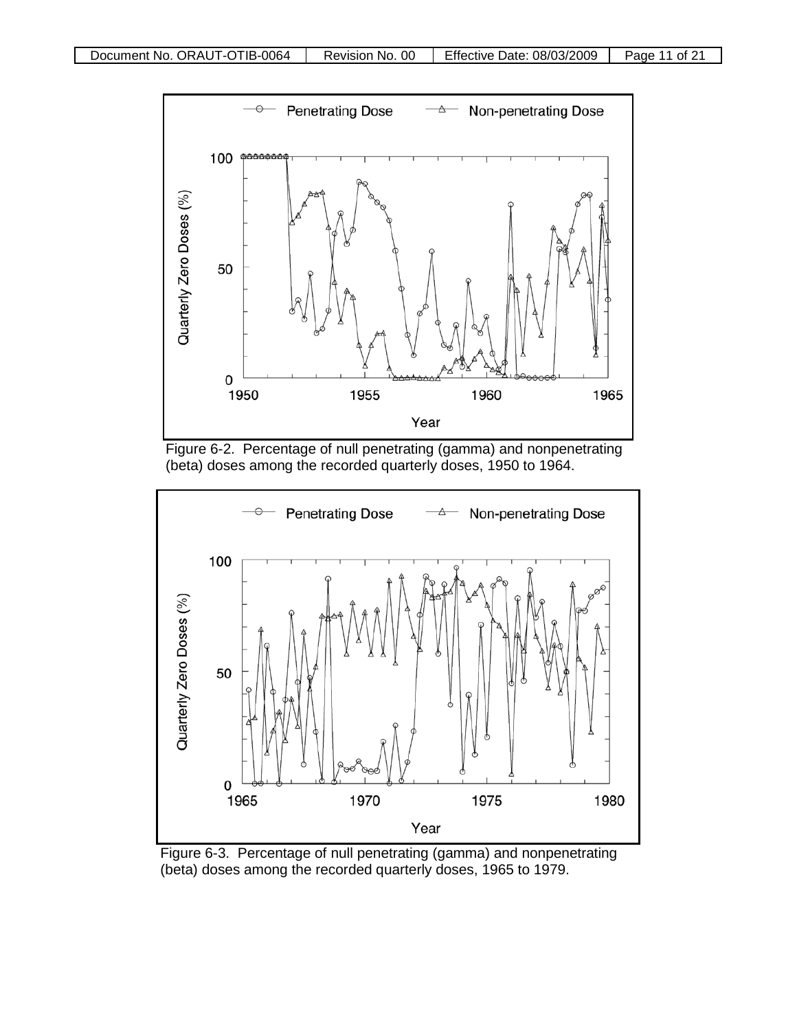





Figure 6-3. Percentage of null penetrating (gamma) and nonpenetrating (beta) doses among the recorded quarterly doses, 1965 to 1979.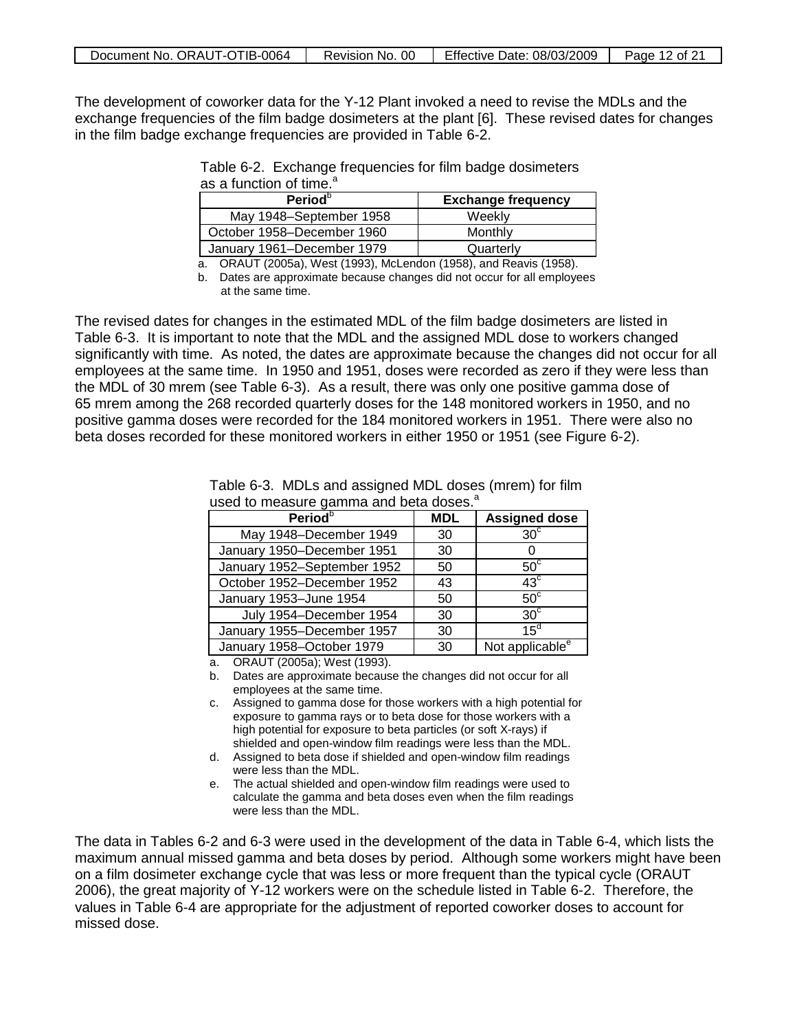| Document No. ORAUT-OTIB-0064 | Revision No. 00 | Effective Date: 08/03/2009 | Page 12 of 21 |
|------------------------------|-----------------|----------------------------|---------------|
|------------------------------|-----------------|----------------------------|---------------|

The development of coworker data for the Y-12 Plant invoked a need to revise the MDLs and the exchange frequencies of the film badge dosimeters at the plant [6]. These revised dates for changes in the film badge exchange frequencies are provided in Table 6-2.

| as a function of time. <sup>a</sup> |                           |
|-------------------------------------|---------------------------|
| Period <sup>b</sup>                 | <b>Exchange frequency</b> |
| May 1948–September 1958             | Weekly                    |

Table 6-2. Exchange frequencies for film badge dosimeters a

January 1961–December 1979 | Quarterly a. ORAUT (2005a), West (1993), McLendon (1958), and Reavis (1958).

October 1958–December 1960 | Monthly

b. Dates are approximate because changes did not occur for all employees at the same time.

The revised dates for changes in the estimated MDL of the film badge dosimeters are listed in Table 6-3. It is important to note that the MDL and the assigned MDL dose to workers changed significantly with time. As noted, the dates are approximate because the changes did not occur for all employees at the same time. In 1950 and 1951, doses were recorded as zero if they were less than the MDL of 30 mrem (see Table 6-3). As a result, there was only one positive gamma dose of 65 mrem among the 268 recorded quarterly doses for the 148 monitored workers in 1950, and no positive gamma doses were recorded for the 184 monitored workers in 1951. There were also no beta doses recorded for these monitored workers in either 1950 or 1951 (see Figure 6-2).

| <b>Period</b> <sup>b</sup>  | <b>MDL</b> | <b>Assigned dose</b>        |
|-----------------------------|------------|-----------------------------|
| May 1948-December 1949      | 30         | $30^\circ$                  |
| January 1950-December 1951  | 30         |                             |
| January 1952-September 1952 | 50         | $50^\circ$                  |
| October 1952-December 1952  | 43         | $43^\circ$                  |
| January 1953-June 1954      | 50         | $50^{\circ}$                |
| July 1954-December 1954     | 30         | 30 <sup>c</sup>             |
| January 1955-December 1957  | 30         | $15^{\circ}$                |
| January 1958-October 1979   | 30         | Not applicable <sup>e</sup> |

Table 6-3. MDLs and assigned MDL doses (mrem) for film used to measure gamma and beta doses.<sup>a</sup>

a. ORAUT (2005a); West (1993).

b. Dates are approximate because the changes did not occur for all employees at the same time.

- c. Assigned to gamma dose for those workers with a high potential for exposure to gamma rays or to beta dose for those workers with a high potential for exposure to beta particles (or soft X-rays) if shielded and open-window film readings were less than the MDL.
- d. Assigned to beta dose if shielded and open-window film readings were less than the MDL.
- e. The actual shielded and open-window film readings were used to calculate the gamma and beta doses even when the film readings were less than the MDL.

The data in Tables 6-2 and 6-3 were used in the development of the data in Table 6-4, which lists the maximum annual missed gamma and beta doses by period. Although some workers might have been on a film dosimeter exchange cycle that was less or more frequent than the typical cycle (ORAUT 2006), the great majority of Y-12 workers were on the schedule listed in Table 6-2. Therefore, the values in Table 6-4 are appropriate for the adjustment of reported coworker doses to account for missed dose.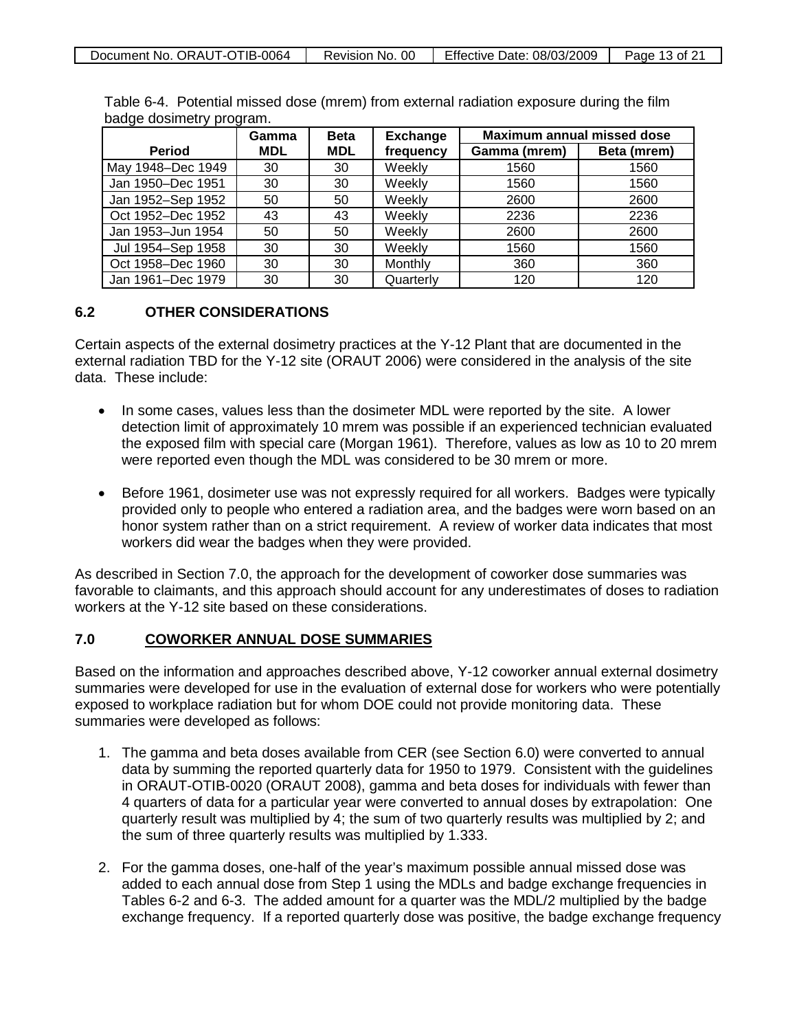| Document No. ORAUT-OTIB-0064 | Revision No. 00 | Effective Date: 08/03/2009   ' | Page 13 of 21 |
|------------------------------|-----------------|--------------------------------|---------------|
|                              |                 |                                |               |

|                   | Gamma      | <b>Beta</b> | <b>Exchange</b> | Maximum annual missed dose |             |
|-------------------|------------|-------------|-----------------|----------------------------|-------------|
| <b>Period</b>     | <b>MDL</b> | <b>MDL</b>  | frequency       | Gamma (mrem)               | Beta (mrem) |
| May 1948-Dec 1949 | 30         | 30          | Weekly          | 1560                       | 1560        |
| Jan 1950-Dec 1951 | 30         | 30          | Weekly          | 1560                       | 1560        |
| Jan 1952-Sep 1952 | 50         | 50          | Weekly          | 2600                       | 2600        |
| Oct 1952-Dec 1952 | 43         | 43          | Weekly          | 2236                       | 2236        |
| Jan 1953-Jun 1954 | 50         | 50          | Weekly          | 2600                       | 2600        |
| Jul 1954-Sep 1958 | 30         | 30          | Weekly          | 1560                       | 1560        |
| Oct 1958-Dec 1960 | 30         | 30          | Monthly         | 360                        | 360         |
| Jan 1961-Dec 1979 | 30         | 30          | Quarterly       | 120                        | 120         |

Table 6-4. Potential missed dose (mrem) from external radiation exposure during the film badge dosimetry program.

## **6.2 OTHER CONSIDERATIONS**

Certain aspects of the external dosimetry practices at the Y-12 Plant that are documented in the external radiation TBD for the Y-12 site (ORAUT 2006) were considered in the analysis of the site data. These include:

- In some cases, values less than the dosimeter MDL were reported by the site. A lower detection limit of approximately 10 mrem was possible if an experienced technician evaluated the exposed film with special care (Morgan 1961). Therefore, values as low as 10 to 20 mrem were reported even though the MDL was considered to be 30 mrem or more.
- Before 1961, dosimeter use was not expressly required for all workers. Badges were typically provided only to people who entered a radiation area, and the badges were worn based on an honor system rather than on a strict requirement. A review of worker data indicates that most workers did wear the badges when they were provided.

As described in Section 7.0, the approach for the development of coworker dose summaries was favorable to claimants, and this approach should account for any underestimates of doses to radiation workers at the Y-12 site based on these considerations.

#### **7.0 COWORKER ANNUAL DOSE SUMMARIES**

Based on the information and approaches described above, Y-12 coworker annual external dosimetry summaries were developed for use in the evaluation of external dose for workers who were potentially exposed to workplace radiation but for whom DOE could not provide monitoring data. These summaries were developed as follows:

- 1. The gamma and beta doses available from CER (see Section 6.0) were converted to annual data by summing the reported quarterly data for 1950 to 1979. Consistent with the guidelines in ORAUT-OTIB-0020 (ORAUT 2008), gamma and beta doses for individuals with fewer than 4 quarters of data for a particular year were converted to annual doses by extrapolation: One quarterly result was multiplied by 4; the sum of two quarterly results was multiplied by 2; and the sum of three quarterly results was multiplied by 1.333.
- 2. For the gamma doses, one-half of the year's maximum possible annual missed dose was added to each annual dose from Step 1 using the MDLs and badge exchange frequencies in Tables 6-2 and 6-3. The added amount for a quarter was the MDL/2 multiplied by the badge exchange frequency. If a reported quarterly dose was positive, the badge exchange frequency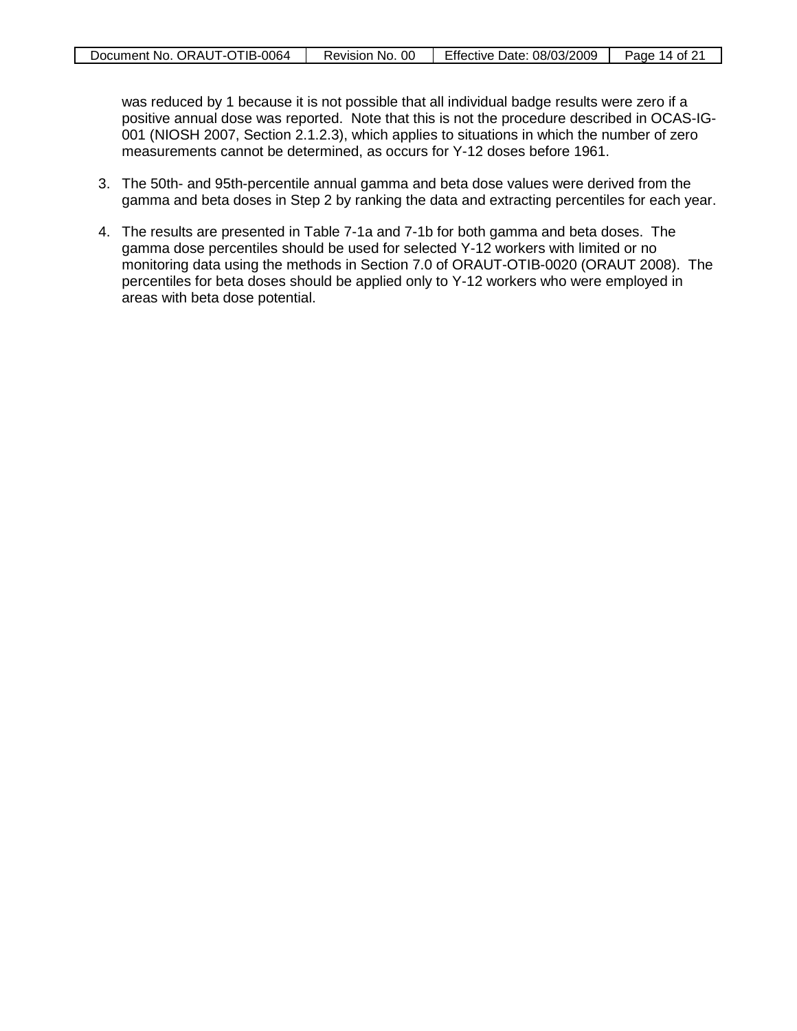was reduced by 1 because it is not possible that all individual badge results were zero if a positive annual dose was reported. Note that this is not the procedure described in OCAS-IG-001 (NIOSH 2007, Section 2.1.2.3), which applies to situations in which the number of zero measurements cannot be determined, as occurs for Y-12 doses before 1961.

- 3. The 50th- and 95th-percentile annual gamma and beta dose values were derived from the gamma and beta doses in Step 2 by ranking the data and extracting percentiles for each year.
- 4. The results are presented in Table 7-1a and 7-1b for both gamma and beta doses. The gamma dose percentiles should be used for selected Y-12 workers with limited or no monitoring data using the methods in Section 7.0 of ORAUT-OTIB-0020 (ORAUT 2008). The percentiles for beta doses should be applied only to Y-12 workers who were employed in areas with beta dose potential.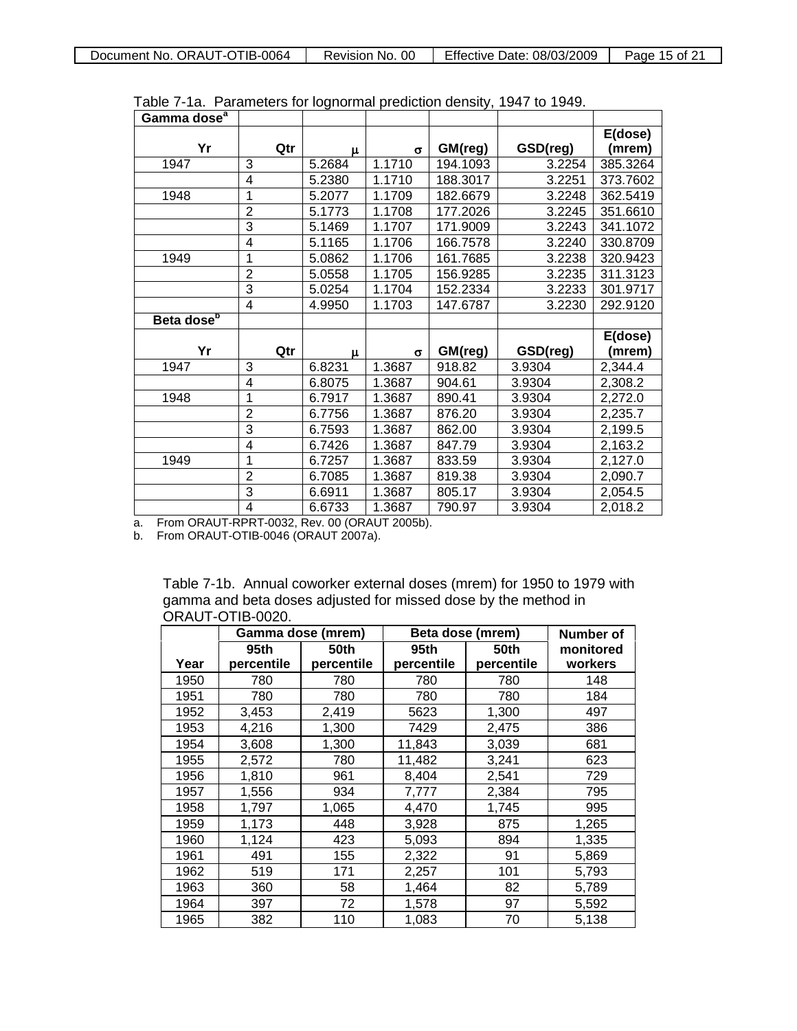| Gamma dose <sup>a</sup> |                |        |                     |          |          |          |
|-------------------------|----------------|--------|---------------------|----------|----------|----------|
|                         |                |        |                     |          |          | E(dose)  |
| Yr                      | Qtr            | μ      | $\sigma$            | GM(reg)  | GSD(reg) | (mrem)   |
| 1947                    | 3              | 5.2684 | $\overline{1.1710}$ | 194.1093 | 3.2254   | 385.3264 |
|                         | 4              | 5.2380 | 1.1710              | 188.3017 | 3.2251   | 373.7602 |
| 1948                    | 1              | 5.2077 | 1.1709              | 182.6679 | 3.2248   | 362.5419 |
|                         | $\overline{2}$ | 5.1773 | 1.1708              | 177.2026 | 3.2245   | 351.6610 |
|                         | 3              | 5.1469 | 1.1707              | 171.9009 | 3.2243   | 341.1072 |
|                         | 4              | 5.1165 | 1.1706              | 166.7578 | 3.2240   | 330.8709 |
| 1949                    | 1              | 5.0862 | 1.1706              | 161.7685 | 3.2238   | 320.9423 |
|                         | $\overline{2}$ | 5.0558 | 1.1705              | 156.9285 | 3.2235   | 311.3123 |
|                         | 3              | 5.0254 | 1.1704              | 152.2334 | 3.2233   | 301.9717 |
|                         | 4              | 4.9950 | 1.1703              | 147.6787 | 3.2230   | 292.9120 |
| Beta dose <sup>b</sup>  |                |        |                     |          |          |          |
|                         |                |        |                     |          |          | E(dose)  |
| Yr                      | Qtr            | μ      | $\sigma$            | GM(reg)  | GSD(reg) | (mrem)   |
| 1947                    | 3              | 6.8231 | 1.3687              | 918.82   | 3.9304   | 2,344.4  |
|                         | 4              | 6.8075 | 1.3687              | 904.61   | 3.9304   | 2,308.2  |
| 1948                    | 1              | 6.7917 | 1.3687              | 890.41   | 3.9304   | 2,272.0  |
|                         | $\overline{2}$ | 6.7756 | 1.3687              | 876.20   | 3.9304   | 2,235.7  |
|                         | 3              | 6.7593 | 1.3687              | 862.00   | 3.9304   | 2,199.5  |
|                         | 4              | 6.7426 | 1.3687              | 847.79   | 3.9304   | 2,163.2  |
| 1949                    | 1              | 6.7257 | 1.3687              | 833.59   | 3.9304   | 2,127.0  |
|                         | $\overline{2}$ | 6.7085 | 1.3687              | 819.38   | 3.9304   | 2,090.7  |
|                         | $\overline{3}$ | 6.6911 | 1.3687              | 805.17   | 3.9304   | 2,054.5  |
|                         | 4              | 6.6733 | 1.3687              | 790.97   | 3.9304   | 2,018.2  |

Table 7-1a. Parameters for lognormal prediction density, 1947 to 1949.

a. From ORAUT-RPRT-0032, Rev. 00 (ORAUT 2005b).

b. From ORAUT-OTIB-0046 (ORAUT 2007a).

|                  | Table 7-1b. Annual coworker external doses (mrem) for 1950 to 1979 with |
|------------------|-------------------------------------------------------------------------|
|                  | gamma and beta doses adjusted for missed dose by the method in          |
| ORAUT-OTIB-0020. |                                                                         |

|      |            | Gamma dose (mrem) | Beta dose (mrem) |            | Number of |
|------|------------|-------------------|------------------|------------|-----------|
|      | 95th       | 50th              | 95th             | 50th       | monitored |
| Year | percentile | percentile        | percentile       | percentile | workers   |
| 1950 | 780        | 780               | 780              | 780        | 148       |
| 1951 | 780        | 780               | 780              | 780        | 184       |
| 1952 | 3,453      | 2,419             | 5623             | 1,300      | 497       |
| 1953 | 4,216      | 1,300             | 7429             | 2,475      | 386       |
| 1954 | 3,608      | 1,300             | 11,843           | 3,039      | 681       |
| 1955 | 2,572      | 780               | 11,482           | 3,241      | 623       |
| 1956 | 1,810      | 961               | 8,404            | 2,541      | 729       |
| 1957 | 1,556      | 934               | 7,777            | 2,384      | 795       |
| 1958 | 1,797      | 1,065             | 4,470            | 1,745      | 995       |
| 1959 | 1,173      | 448               | 3,928            | 875        | 1,265     |
| 1960 | 1,124      | 423               | 5,093            | 894        | 1,335     |
| 1961 | 491        | 155               | 2,322            | 91         | 5,869     |
| 1962 | 519        | 171               | 2,257            | 101        | 5,793     |
| 1963 | 360        | 58                | 1,464            | 82         | 5,789     |
| 1964 | 397        | 72                | 1,578            | 97         | 5,592     |
| 1965 | 382        | 110               | 1,083            | 70         | 5,138     |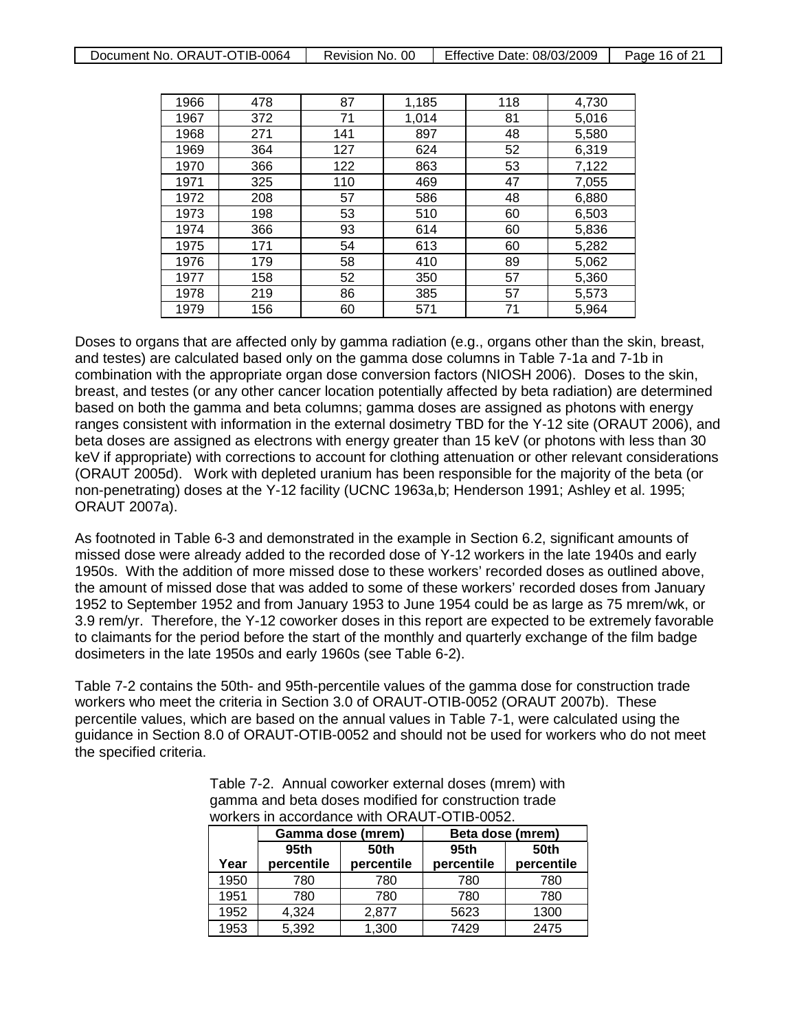| Document No. ORAUT-OTIB-0064 | Revision No. 00 | Effective Date: 08/03/2009 | Page 16 of 21 |
|------------------------------|-----------------|----------------------------|---------------|
|                              |                 |                            |               |

| 1966 | 478 | 87  | 1,185 | 118 | 4,730 |
|------|-----|-----|-------|-----|-------|
| 1967 | 372 | 71  | 1,014 | 81  | 5,016 |
| 1968 | 271 | 141 | 897   | 48  | 5,580 |
| 1969 | 364 | 127 | 624   | 52  | 6,319 |
| 1970 | 366 | 122 | 863   | 53  | 7,122 |
| 1971 | 325 | 110 | 469   | 47  | 7,055 |
| 1972 | 208 | 57  | 586   | 48  | 6,880 |
| 1973 | 198 | 53  | 510   | 60  | 6,503 |
| 1974 | 366 | 93  | 614   | 60  | 5,836 |
| 1975 | 171 | 54  | 613   | 60  | 5,282 |
| 1976 | 179 | 58  | 410   | 89  | 5,062 |
| 1977 | 158 | 52  | 350   | 57  | 5,360 |
| 1978 | 219 | 86  | 385   | 57  | 5,573 |
| 1979 | 156 | 60  | 571   | 71  | 5,964 |

Doses to organs that are affected only by gamma radiation (e.g., organs other than the skin, breast, and testes) are calculated based only on the gamma dose columns in Table 7-1a and 7-1b in combination with the appropriate organ dose conversion factors (NIOSH 2006). Doses to the skin, breast, and testes (or any other cancer location potentially affected by beta radiation) are determined based on both the gamma and beta columns; gamma doses are assigned as photons with energy ranges consistent with information in the external dosimetry TBD for the Y-12 site (ORAUT 2006), and beta doses are assigned as electrons with energy greater than 15 keV (or photons with less than 30 keV if appropriate) with corrections to account for clothing attenuation or other relevant considerations (ORAUT 2005d). Work with depleted uranium has been responsible for the majority of the beta (or non-penetrating) doses at the Y-12 facility (UCNC 1963a,b; Henderson 1991; Ashley et al. 1995; ORAUT 2007a).

As footnoted in Table 6-3 and demonstrated in the example in Section 6.2, significant amounts of missed dose were already added to the recorded dose of Y-12 workers in the late 1940s and early 1950s. With the addition of more missed dose to these workers' recorded doses as outlined above, the amount of missed dose that was added to some of these workers' recorded doses from January 1952 to September 1952 and from January 1953 to June 1954 could be as large as 75 mrem/wk, or 3.9 rem/yr. Therefore, the Y-12 coworker doses in this report are expected to be extremely favorable to claimants for the period before the start of the monthly and quarterly exchange of the film badge dosimeters in the late 1950s and early 1960s (see Table 6-2).

Table 7-2 contains the 50th- and 95th-percentile values of the gamma dose for construction trade workers who meet the criteria in Section 3.0 of ORAUT-OTIB-0052 (ORAUT 2007b). These percentile values, which are based on the annual values in Table 7-1, were calculated using the guidance in Section 8.0 of ORAUT-OTIB-0052 and should not be used for workers who do not meet the specified criteria.

> Table 7-2. Annual coworker external doses (mrem) with gamma and beta doses modified for construction trade workers in accordance with ORAUT-OTIB-0052.

|      | Gamma dose (mrem) |            | Beta dose (mrem) |            |
|------|-------------------|------------|------------------|------------|
|      | 95th              | 50th       | 95 <sub>th</sub> | 50th       |
| Year | percentile        | percentile | percentile       | percentile |
| 1950 | 780               | 780        | 780              | 780        |
| 1951 | 780               | 780        | 780              | 780        |
| 1952 | 4,324             | 2,877      | 5623             | 1300       |
| 1953 | 5,392             | 1,300      | 7429             | 2475       |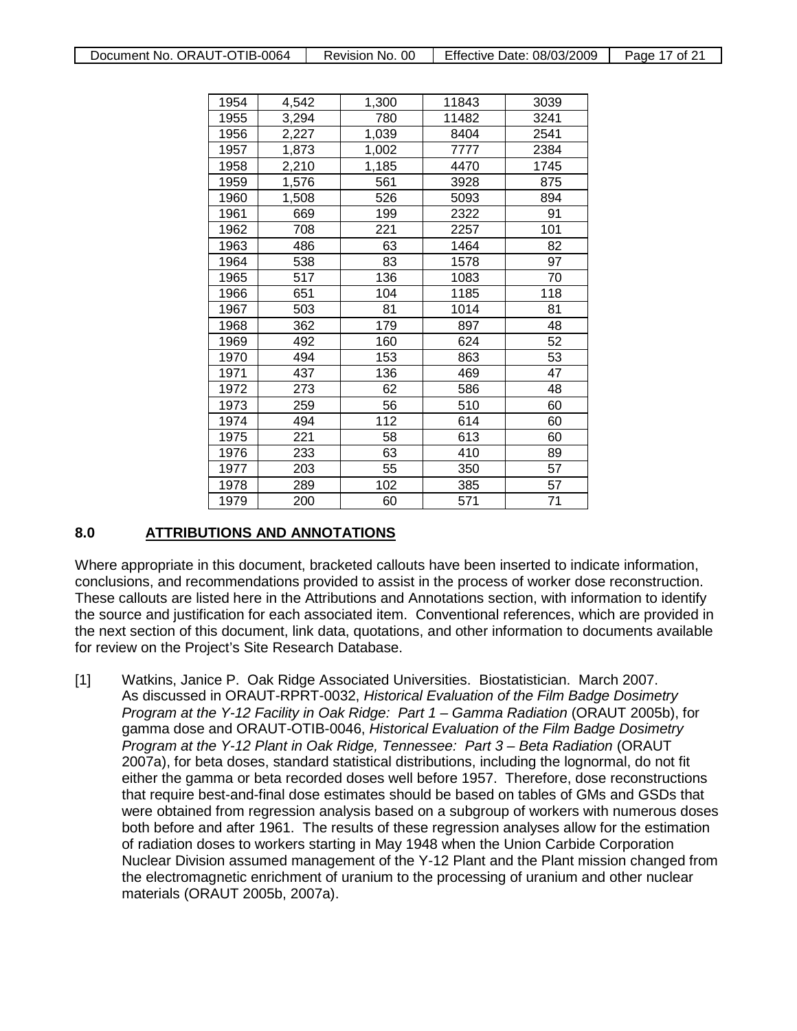| 1954 | 4,542 | 1,300 | 11843 | 3039 |
|------|-------|-------|-------|------|
| 1955 | 3,294 | 780   | 11482 | 3241 |
| 1956 | 2,227 | 1,039 | 8404  | 2541 |
| 1957 | 1,873 | 1,002 | 7777  | 2384 |
| 1958 | 2,210 | 1,185 | 4470  | 1745 |
| 1959 | 1,576 | 561   | 3928  | 875  |
| 1960 | 1,508 | 526   | 5093  | 894  |
| 1961 | 669   | 199   | 2322  | 91   |
| 1962 | 708   | 221   | 2257  | 101  |
| 1963 | 486   | 63    | 1464  | 82   |
| 1964 | 538   | 83    | 1578  | 97   |
| 1965 | 517   | 136   | 1083  | 70   |
| 1966 | 651   | 104   | 1185  | 118  |
| 1967 | 503   | 81    | 1014  | 81   |
| 1968 | 362   | 179   | 897   | 48   |
| 1969 | 492   | 160   | 624   | 52   |
| 1970 | 494   | 153   | 863   | 53   |
| 1971 | 437   | 136   | 469   | 47   |
| 1972 | 273   | 62    | 586   | 48   |
| 1973 | 259   | 56    | 510   | 60   |
| 1974 | 494   | 112   | 614   | 60   |
| 1975 | 221   | 58    | 613   | 60   |
| 1976 | 233   | 63    | 410   | 89   |
| 1977 | 203   | 55    | 350   | 57   |
| 1978 | 289   | 102   | 385   | 57   |
| 1979 | 200   | 60    | 571   | 71   |

#### **8.0 ATTRIBUTIONS AND ANNOTATIONS**

Where appropriate in this document, bracketed callouts have been inserted to indicate information, conclusions, and recommendations provided to assist in the process of worker dose reconstruction. These callouts are listed here in the Attributions and Annotations section, with information to identify the source and justification for each associated item. Conventional references, which are provided in the next section of this document, link data, quotations, and other information to documents available for review on the Project's Site Research Database.

[1] Watkins, Janice P. Oak Ridge Associated Universities. Biostatistician. March 2007. As discussed in ORAUT-RPRT-0032, *Historical Evaluation of the Film Badge Dosimetry Program at the Y-12 Facility in Oak Ridge: Part 1 – Gamma Radiation* (ORAUT 2005b), for gamma dose and ORAUT-OTIB-0046, *Historical Evaluation of the Film Badge Dosimetry Program at the Y-12 Plant in Oak Ridge, Tennessee: Part 3 – Beta Radiation* (ORAUT 2007a), for beta doses, standard statistical distributions, including the lognormal, do not fit either the gamma or beta recorded doses well before 1957. Therefore, dose reconstructions that require best-and-final dose estimates should be based on tables of GMs and GSDs that were obtained from regression analysis based on a subgroup of workers with numerous doses both before and after 1961. The results of these regression analyses allow for the estimation of radiation doses to workers starting in May 1948 when the Union Carbide Corporation Nuclear Division assumed management of the Y-12 Plant and the Plant mission changed from the electromagnetic enrichment of uranium to the processing of uranium and other nuclear materials (ORAUT 2005b, 2007a).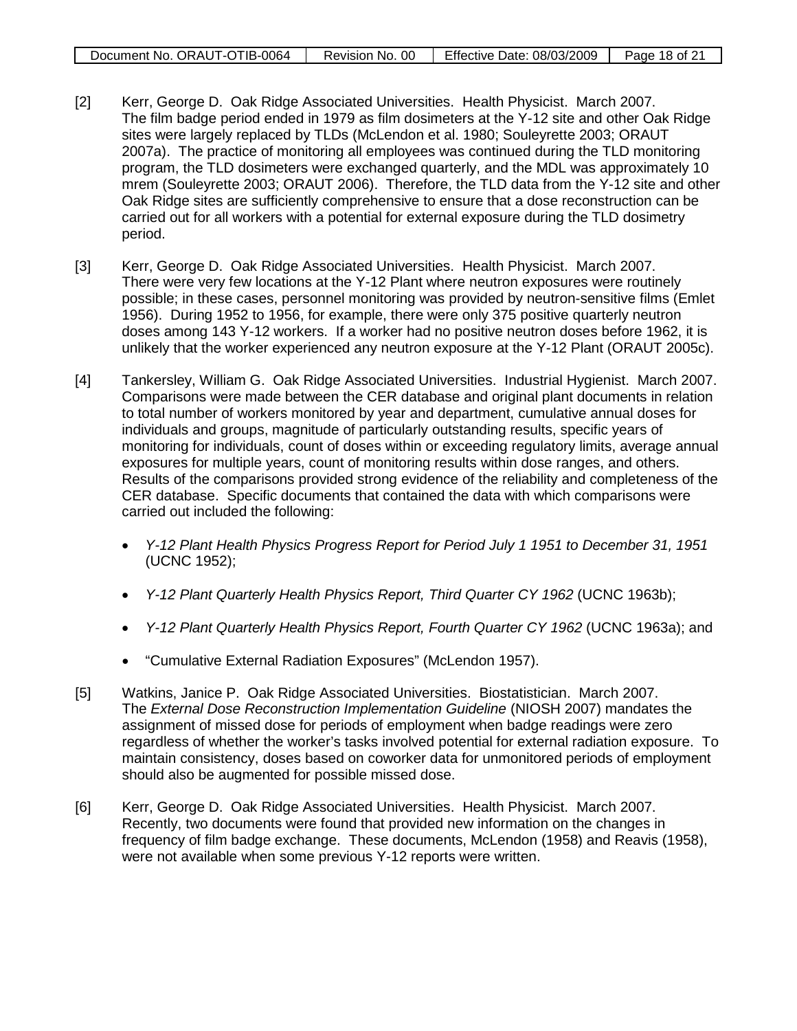| Document No. ORAUT-OTIB-0064 | Revision No. 00 | Effective Date: 08/03/2009 | Page 18 of 21 |
|------------------------------|-----------------|----------------------------|---------------|
|                              |                 |                            |               |

- [2] Kerr, George D. Oak Ridge Associated Universities. Health Physicist. March 2007. The film badge period ended in 1979 as film dosimeters at the Y-12 site and other Oak Ridge sites were largely replaced by TLDs (McLendon et al. 1980; Souleyrette 2003; ORAUT 2007a). The practice of monitoring all employees was continued during the TLD monitoring program, the TLD dosimeters were exchanged quarterly, and the MDL was approximately 10 mrem (Souleyrette 2003; ORAUT 2006). Therefore, the TLD data from the Y-12 site and other Oak Ridge sites are sufficiently comprehensive to ensure that a dose reconstruction can be carried out for all workers with a potential for external exposure during the TLD dosimetry period.
- [3] Kerr, George D. Oak Ridge Associated Universities. Health Physicist. March 2007. There were very few locations at the Y-12 Plant where neutron exposures were routinely possible; in these cases, personnel monitoring was provided by neutron-sensitive films (Emlet 1956). During 1952 to 1956, for example, there were only 375 positive quarterly neutron doses among 143 Y-12 workers. If a worker had no positive neutron doses before 1962, it is unlikely that the worker experienced any neutron exposure at the Y-12 Plant (ORAUT 2005c).
- [4] Tankersley, William G. Oak Ridge Associated Universities. Industrial Hygienist. March 2007. Comparisons were made between the CER database and original plant documents in relation to total number of workers monitored by year and department, cumulative annual doses for individuals and groups, magnitude of particularly outstanding results, specific years of monitoring for individuals, count of doses within or exceeding regulatory limits, average annual exposures for multiple years, count of monitoring results within dose ranges, and others. Results of the comparisons provided strong evidence of the reliability and completeness of the CER database. Specific documents that contained the data with which comparisons were carried out included the following:
	- *Y-12 Plant Health Physics Progress Report for Period July 1 1951 to December 31, 1951* (UCNC 1952);
	- *Y-12 Plant Quarterly Health Physics Report, Third Quarter CY 1962* (UCNC 1963b);
	- *Y-12 Plant Quarterly Health Physics Report, Fourth Quarter CY 1962* (UCNC 1963a); and
	- "Cumulative External Radiation Exposures" (McLendon 1957).
- [5] Watkins, Janice P. Oak Ridge Associated Universities. Biostatistician. March 2007. The *External Dose Reconstruction Implementation Guideline* (NIOSH 2007) mandates the assignment of missed dose for periods of employment when badge readings were zero regardless of whether the worker's tasks involved potential for external radiation exposure. To maintain consistency, doses based on coworker data for unmonitored periods of employment should also be augmented for possible missed dose.
- [6] Kerr, George D. Oak Ridge Associated Universities. Health Physicist. March 2007. Recently, two documents were found that provided new information on the changes in frequency of film badge exchange. These documents, McLendon (1958) and Reavis (1958), were not available when some previous Y-12 reports were written.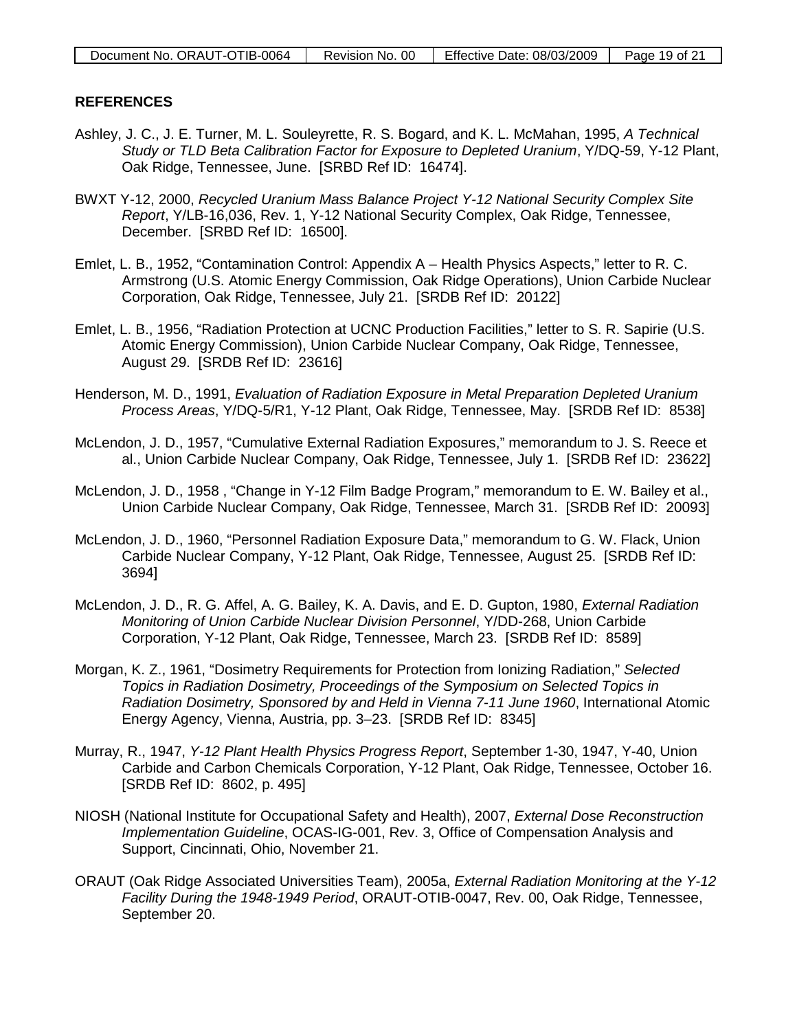### **REFERENCES**

- Ashley, J. C., J. E. Turner, M. L. Souleyrette, R. S. Bogard, and K. L. McMahan, 1995, *A Technical Study or TLD Beta Calibration Factor for Exposure to Depleted Uranium*, Y/DQ-59, Y-12 Plant, Oak Ridge, Tennessee, June. [SRBD Ref ID: 16474].
- BWXT Y-12, 2000, *Recycled Uranium Mass Balance Project Y-12 National Security Complex Site Report*, Y/LB-16,036, Rev. 1, Y-12 National Security Complex, Oak Ridge, Tennessee, December. [SRBD Ref ID: 16500].
- Emlet, L. B., 1952, "Contamination Control: Appendix A Health Physics Aspects," letter to R. C. Armstrong (U.S. Atomic Energy Commission, Oak Ridge Operations), Union Carbide Nuclear Corporation, Oak Ridge, Tennessee, July 21. [SRDB Ref ID: 20122]
- Emlet, L. B., 1956, "Radiation Protection at UCNC Production Facilities," letter to S. R. Sapirie (U.S. Atomic Energy Commission), Union Carbide Nuclear Company, Oak Ridge, Tennessee, August 29. [SRDB Ref ID: 23616]
- Henderson, M. D., 1991, *Evaluation of Radiation Exposure in Metal Preparation Depleted Uranium Process Areas*, Y/DQ-5/R1, Y-12 Plant, Oak Ridge, Tennessee, May. [SRDB Ref ID: 8538]
- McLendon, J. D., 1957, "Cumulative External Radiation Exposures," memorandum to J. S. Reece et al., Union Carbide Nuclear Company, Oak Ridge, Tennessee, July 1. [SRDB Ref ID: 23622]
- McLendon, J. D., 1958 , "Change in Y-12 Film Badge Program," memorandum to E. W. Bailey et al., Union Carbide Nuclear Company, Oak Ridge, Tennessee, March 31. [SRDB Ref ID: 20093]
- McLendon, J. D., 1960, "Personnel Radiation Exposure Data," memorandum to G. W. Flack, Union Carbide Nuclear Company, Y-12 Plant, Oak Ridge, Tennessee, August 25. [SRDB Ref ID: 3694]
- McLendon, J. D., R. G. Affel, A. G. Bailey, K. A. Davis, and E. D. Gupton, 1980, *External Radiation Monitoring of Union Carbide Nuclear Division Personnel*, Y/DD-268, Union Carbide Corporation, Y-12 Plant, Oak Ridge, Tennessee, March 23. [SRDB Ref ID: 8589]
- Morgan, K. Z., 1961, "Dosimetry Requirements for Protection from Ionizing Radiation," *Selected Topics in Radiation Dosimetry, Proceedings of the Symposium on Selected Topics in Radiation Dosimetry, Sponsored by and Held in Vienna 7-11 June 1960*, International Atomic Energy Agency, Vienna, Austria, pp. 3–23. [SRDB Ref ID: 8345]
- Murray, R., 1947, *Y-12 Plant Health Physics Progress Report*, September 1-30, 1947, Y-40, Union Carbide and Carbon Chemicals Corporation, Y-12 Plant, Oak Ridge, Tennessee, October 16. [SRDB Ref ID: 8602, p. 495]
- NIOSH (National Institute for Occupational Safety and Health), 2007, *External Dose Reconstruction Implementation Guideline*, OCAS-IG-001, Rev. 3, Office of Compensation Analysis and Support, Cincinnati, Ohio, November 21.
- ORAUT (Oak Ridge Associated Universities Team), 2005a, *External Radiation Monitoring at the Y-12 Facility During the 1948-1949 Period*, ORAUT-OTIB-0047, Rev. 00, Oak Ridge, Tennessee, September 20.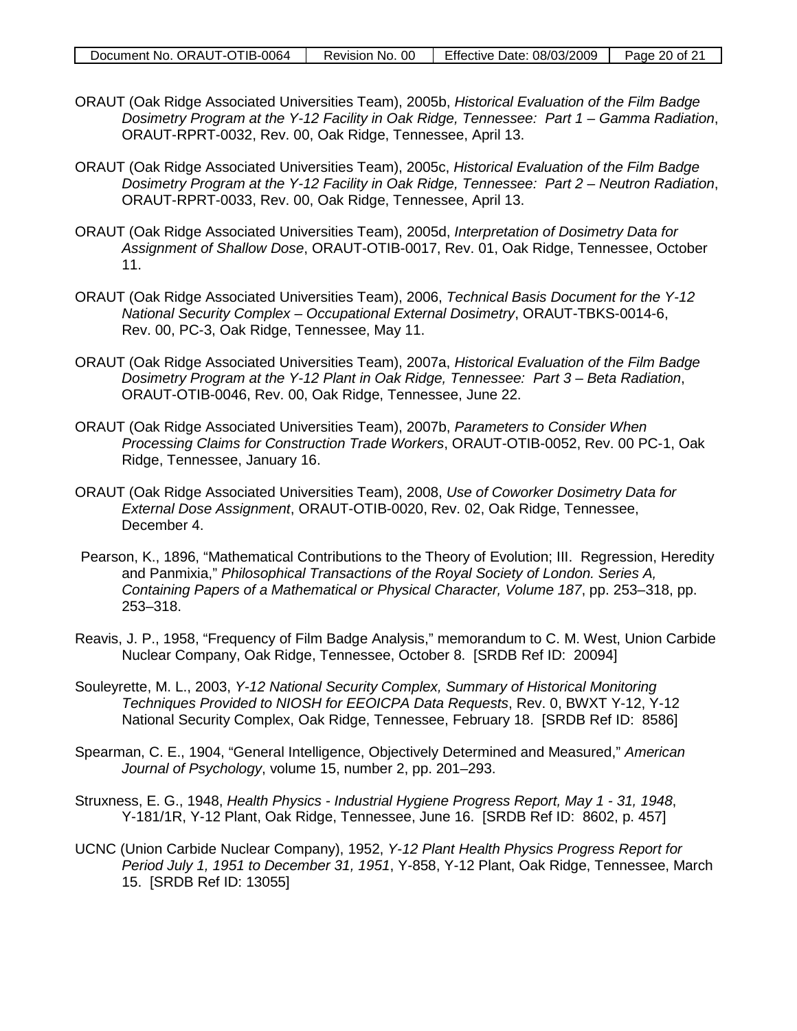- ORAUT (Oak Ridge Associated Universities Team), 2005b, *Historical Evaluation of the Film Badge Dosimetry Program at the Y-12 Facility in Oak Ridge, Tennessee: Part 1 – Gamma Radiation*, ORAUT-RPRT-0032, Rev. 00, Oak Ridge, Tennessee, April 13.
- ORAUT (Oak Ridge Associated Universities Team), 2005c, *Historical Evaluation of the Film Badge Dosimetry Program at the Y-12 Facility in Oak Ridge, Tennessee: Part 2 – Neutron Radiation,* ORAUT-RPRT-0033, Rev. 00, Oak Ridge, Tennessee, April 13.
- ORAUT (Oak Ridge Associated Universities Team), 2005d, *Interpretation of Dosimetry Data for Assignment of Shallow Dose*, ORAUT-OTIB-0017, Rev. 01, Oak Ridge, Tennessee, October 11.
- ORAUT (Oak Ridge Associated Universities Team), 2006, *Technical Basis Document for the Y-12 National Security Complex – Occupational External Dosimetry*, ORAUT-TBKS-0014-6, Rev. 00, PC-3, Oak Ridge, Tennessee, May 11.
- ORAUT (Oak Ridge Associated Universities Team), 2007a, *Historical Evaluation of the Film Badge Dosimetry Program at the Y-12 Plant in Oak Ridge, Tennessee: Part 3 – Beta Radiation,* ORAUT-OTIB-0046, Rev. 00, Oak Ridge, Tennessee, June 22.
- ORAUT (Oak Ridge Associated Universities Team), 2007b, *Parameters to Consider When Processing Claims for Construction Trade Workers*, ORAUT-OTIB-0052, Rev. 00 PC-1, Oak Ridge, Tennessee, January 16.
- ORAUT (Oak Ridge Associated Universities Team), 2008, *Use of Coworker Dosimetry Data for External Dose Assignment*, ORAUT-OTIB-0020, Rev. 02, Oak Ridge, Tennessee, December 4.
- Pearson, K., 1896, "Mathematical Contributions to the Theory of Evolution; III. Regression, Heredity and Panmixia," *Philosophical Transactions of the Royal Society of London. Series A, Containing Papers of a Mathematical or Physical Character, Volume 187*, pp. 253–318, pp. 253–318.
- Reavis, J. P., 1958, "Frequency of Film Badge Analysis," memorandum to C. M. West, Union Carbide Nuclear Company, Oak Ridge, Tennessee, October 8. [SRDB Ref ID: 20094]
- Souleyrette, M. L., 2003, *Y-12 National Security Complex, Summary of Historical Monitoring Techniques Provided to NIOSH for EEOICPA Data Requests*, Rev. 0, BWXT Y-12, Y-12 National Security Complex, Oak Ridge, Tennessee, February 18. [SRDB Ref ID: 8586]
- Spearman, C. E., 1904, "General Intelligence, Objectively Determined and Measured," *American Journal of Psychology*, volume 15, number 2, pp. 201–293.
- Struxness, E. G., 1948, *Health Physics Industrial Hygiene Progress Report, May 1 31, 1948*, Y-181/1R, Y-12 Plant, Oak Ridge, Tennessee, June 16. [SRDB Ref ID: 8602, p. 457]
- UCNC (Union Carbide Nuclear Company), 1952, *Y-12 Plant Health Physics Progress Report for Period July 1, 1951 to December 31, 1951*, Y-858, Y-12 Plant, Oak Ridge, Tennessee, March 15. [SRDB Ref ID: 13055]